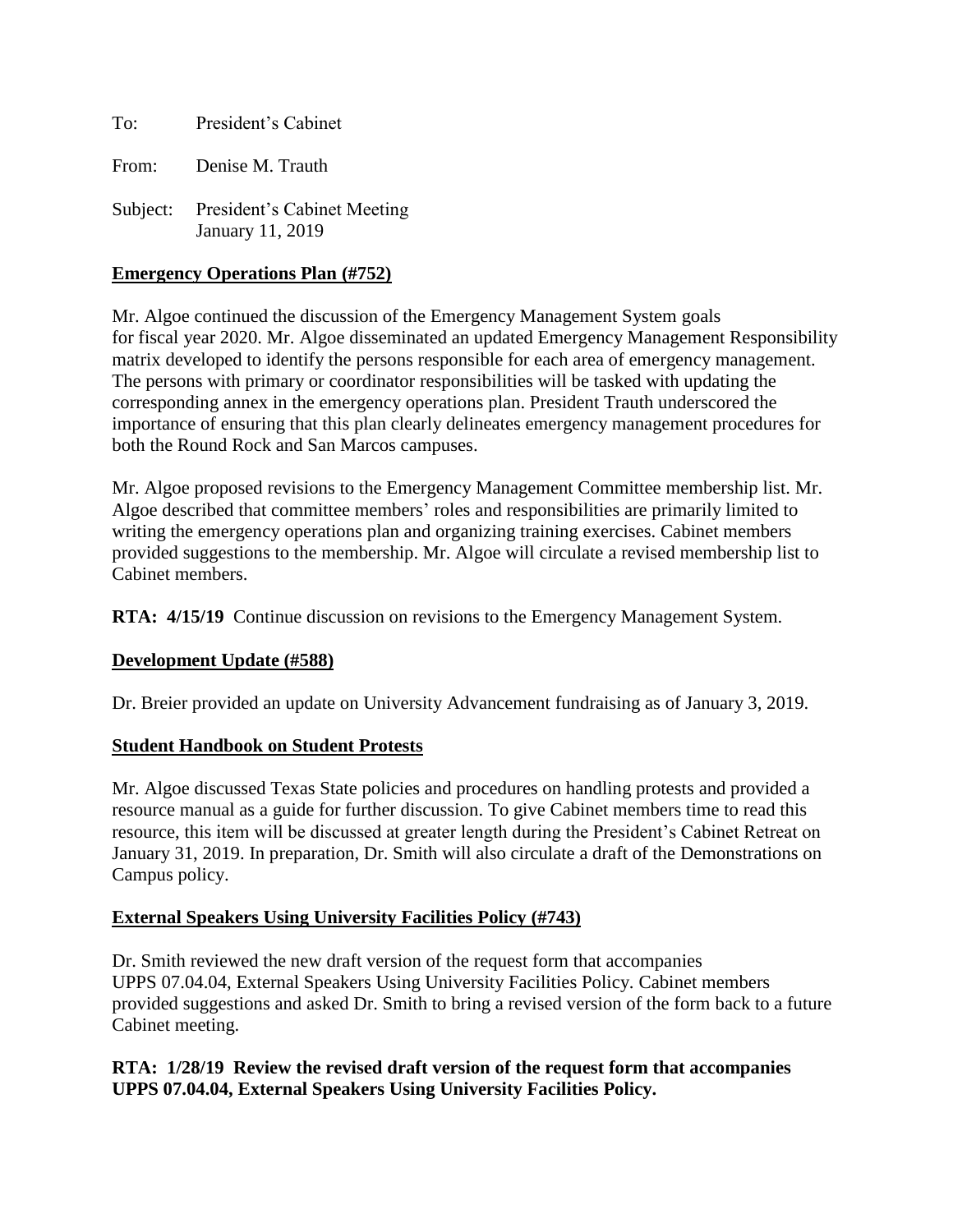To: President's Cabinet

From: Denise M. Trauth

Subject: President's Cabinet Meeting January 11, 2019

#### **Emergency Operations Plan (#752)**

Mr. Algoe continued the discussion of the Emergency Management System goals for fiscal year 2020. Mr. Algoe disseminated an updated Emergency Management Responsibility matrix developed to identify the persons responsible for each area of emergency management. The persons with primary or coordinator responsibilities will be tasked with updating the corresponding annex in the emergency operations plan. President Trauth underscored the importance of ensuring that this plan clearly delineates emergency management procedures for both the Round Rock and San Marcos campuses.

Mr. Algoe proposed revisions to the Emergency Management Committee membership list. Mr. Algoe described that committee members' roles and responsibilities are primarily limited to writing the emergency operations plan and organizing training exercises. Cabinet members provided suggestions to the membership. Mr. Algoe will circulate a revised membership list to Cabinet members.

**RTA: 4/15/19** Continue discussion on revisions to the Emergency Management System.

## **Development Update (#588)**

Dr. Breier provided an update on University Advancement fundraising as of January 3, 2019.

#### **Student Handbook on Student Protests**

Mr. Algoe discussed Texas State policies and procedures on handling protests and provided a resource manual as a guide for further discussion. To give Cabinet members time to read this resource, this item will be discussed at greater length during the President's Cabinet Retreat on January 31, 2019. In preparation, Dr. Smith will also circulate a draft of the Demonstrations on Campus policy.

## **External Speakers Using University Facilities Policy (#743)**

Dr. Smith reviewed the new draft version of the request form that accompanies UPPS 07.04.04, External Speakers Using University Facilities Policy. Cabinet members provided suggestions and asked Dr. Smith to bring a revised version of the form back to a future Cabinet meeting.

**RTA: 1/28/19 Review the revised draft version of the request form that accompanies UPPS 07.04.04, External Speakers Using University Facilities Policy.**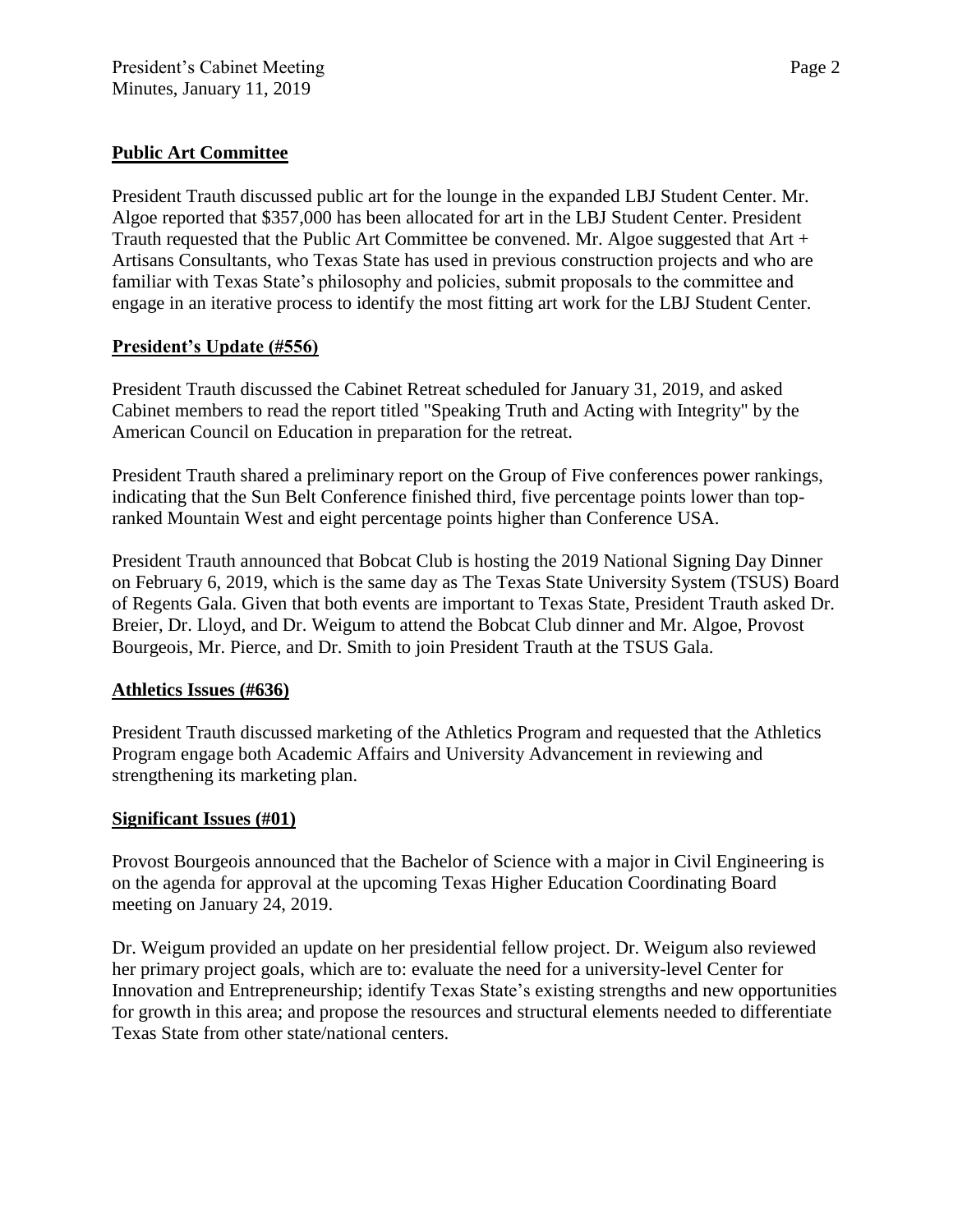# **Public Art Committee**

President Trauth discussed public art for the lounge in the expanded LBJ Student Center. Mr. Algoe reported that \$357,000 has been allocated for art in the LBJ Student Center. President Trauth requested that the Public Art Committee be convened. Mr. Algoe suggested that Art + Artisans Consultants, who Texas State has used in previous construction projects and who are familiar with Texas State's philosophy and policies, submit proposals to the committee and engage in an iterative process to identify the most fitting art work for the LBJ Student Center.

## **President's Update (#556)**

President Trauth discussed the Cabinet Retreat scheduled for January 31, 2019, and asked Cabinet members to read the report titled "Speaking Truth and Acting with Integrity" by the American Council on Education in preparation for the retreat.

President Trauth shared a preliminary report on the Group of Five conferences power rankings, indicating that the Sun Belt Conference finished third, five percentage points lower than topranked Mountain West and eight percentage points higher than Conference USA.

President Trauth announced that Bobcat Club is hosting the 2019 National Signing Day Dinner on February 6, 2019, which is the same day as The Texas State University System (TSUS) Board of Regents Gala. Given that both events are important to Texas State, President Trauth asked Dr. Breier, Dr. Lloyd, and Dr. Weigum to attend the Bobcat Club dinner and Mr. Algoe, Provost Bourgeois, Mr. Pierce, and Dr. Smith to join President Trauth at the TSUS Gala.

## **Athletics Issues (#636)**

President Trauth discussed marketing of the Athletics Program and requested that the Athletics Program engage both Academic Affairs and University Advancement in reviewing and strengthening its marketing plan.

## **Significant Issues (#01)**

Provost Bourgeois announced that the Bachelor of Science with a major in Civil Engineering is on the agenda for approval at the upcoming Texas Higher Education Coordinating Board meeting on January 24, 2019.

Dr. Weigum provided an update on her presidential fellow project. Dr. Weigum also reviewed her primary project goals, which are to: evaluate the need for a university-level Center for Innovation and Entrepreneurship; identify Texas State's existing strengths and new opportunities for growth in this area; and propose the resources and structural elements needed to differentiate Texas State from other state/national centers.